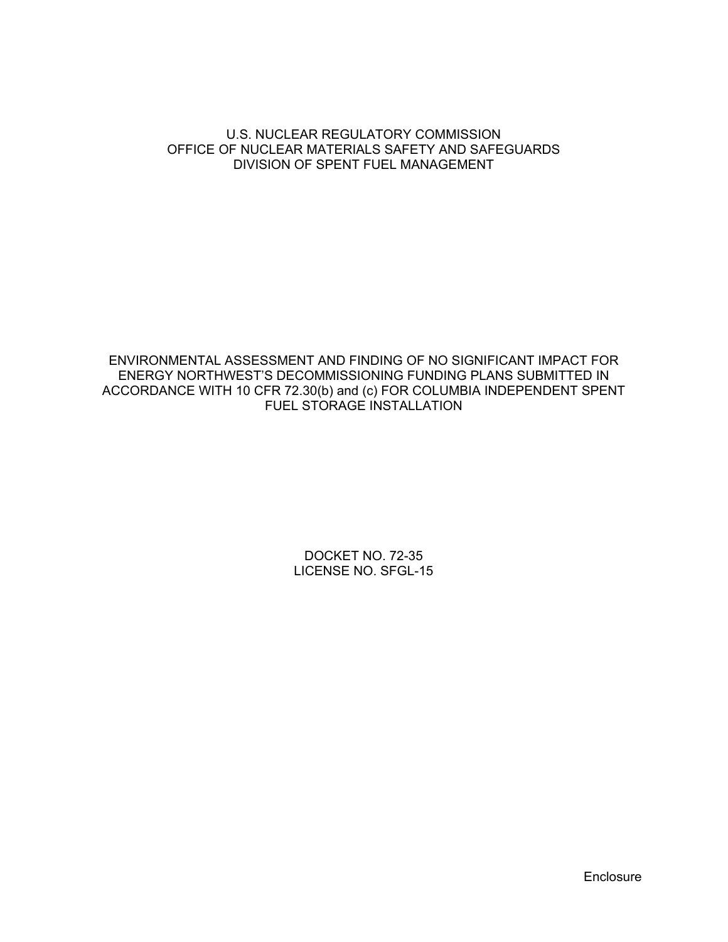#### U.S. NUCLEAR REGULATORY COMMISSION OFFICE OF NUCLEAR MATERIALS SAFETY AND SAFEGUARDS DIVISION OF SPENT FUEL MANAGEMENT

ENVIRONMENTAL ASSESSMENT AND FINDING OF NO SIGNIFICANT IMPACT FOR ENERGY NORTHWEST'S DECOMMISSIONING FUNDING PLANS SUBMITTED IN ACCORDANCE WITH 10 CFR 72.30(b) and (c) FOR COLUMBIA INDEPENDENT SPENT FUEL STORAGE INSTALLATION

> DOCKET NO. 72-35 LICENSE NO. SFGL-15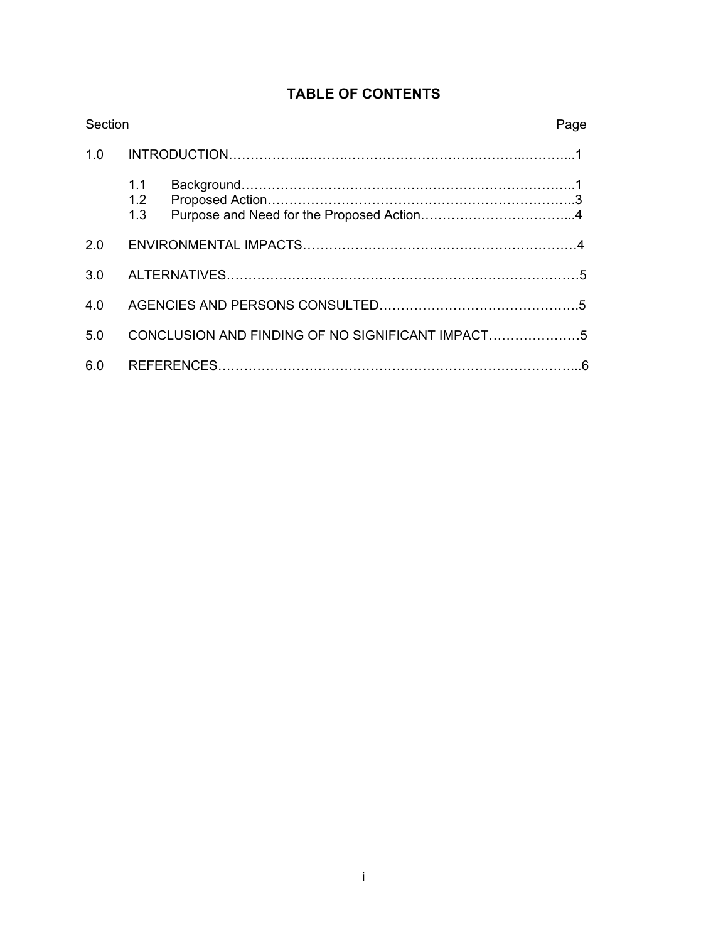| Section |                                                  |  | Page |
|---------|--------------------------------------------------|--|------|
| 1.0     |                                                  |  |      |
|         | 1.1<br>1.2<br>1.3                                |  |      |
| 2.0     |                                                  |  |      |
| 3.0     |                                                  |  |      |
| 4.0     |                                                  |  |      |
| 5.0     | CONCLUSION AND FINDING OF NO SIGNIFICANT IMPACT5 |  |      |
| 6.0     |                                                  |  |      |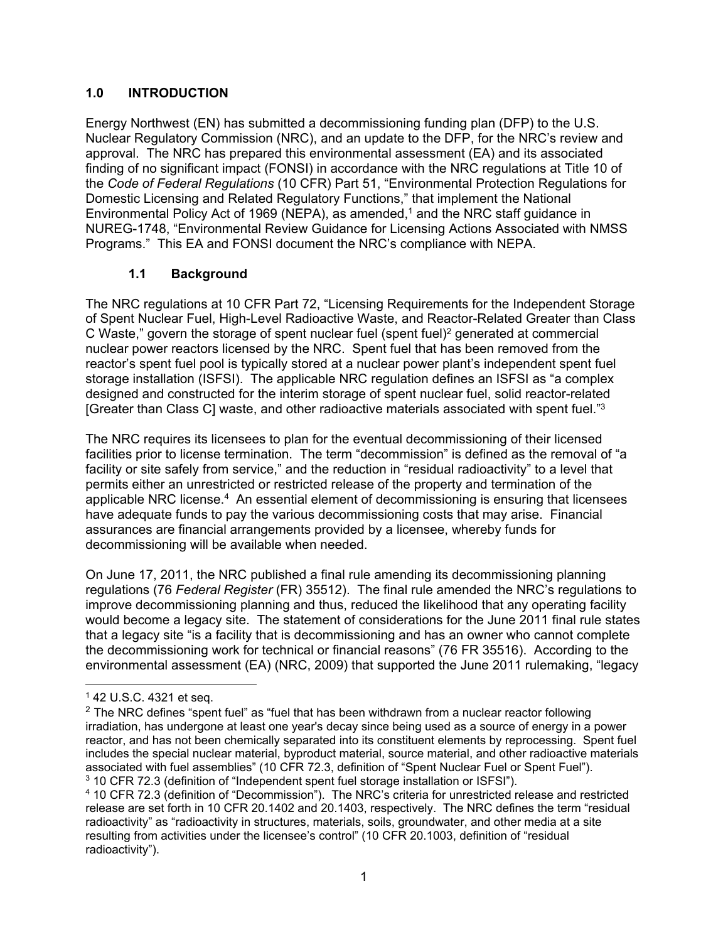### **1.0 INTRODUCTION**

Energy Northwest (EN) has submitted a decommissioning funding plan (DFP) to the U.S. Nuclear Regulatory Commission (NRC), and an update to the DFP, for the NRC's review and approval. The NRC has prepared this environmental assessment (EA) and its associated finding of no significant impact (FONSI) in accordance with the NRC regulations at Title 10 of the *Code of Federal Regulations* (10 CFR) Part 51, "Environmental Protection Regulations for Domestic Licensing and Related Regulatory Functions," that implement the National Environmental Policy Act of 1969 (NEPA), as amended,<sup>1</sup> and the NRC staff guidance in NUREG-1748, "Environmental Review Guidance for Licensing Actions Associated with NMSS Programs." This EA and FONSI document the NRC's compliance with NEPA.

### **1.1 Background**

The NRC regulations at 10 CFR Part 72, "Licensing Requirements for the Independent Storage of Spent Nuclear Fuel, High-Level Radioactive Waste, and Reactor-Related Greater than Class C Waste," govern the storage of spent nuclear fuel (spent fuel)2 generated at commercial nuclear power reactors licensed by the NRC. Spent fuel that has been removed from the reactor's spent fuel pool is typically stored at a nuclear power plant's independent spent fuel storage installation (ISFSI). The applicable NRC regulation defines an ISFSI as "a complex designed and constructed for the interim storage of spent nuclear fuel, solid reactor-related [Greater than Class C] waste, and other radioactive materials associated with spent fuel."3

The NRC requires its licensees to plan for the eventual decommissioning of their licensed facilities prior to license termination. The term "decommission" is defined as the removal of "a facility or site safely from service," and the reduction in "residual radioactivity" to a level that permits either an unrestricted or restricted release of the property and termination of the applicable NRC license.4 An essential element of decommissioning is ensuring that licensees have adequate funds to pay the various decommissioning costs that may arise. Financial assurances are financial arrangements provided by a licensee, whereby funds for decommissioning will be available when needed.

On June 17, 2011, the NRC published a final rule amending its decommissioning planning regulations (76 *Federal Register* (FR) 35512). The final rule amended the NRC's regulations to improve decommissioning planning and thus, reduced the likelihood that any operating facility would become a legacy site. The statement of considerations for the June 2011 final rule states that a legacy site "is a facility that is decommissioning and has an owner who cannot complete the decommissioning work for technical or financial reasons" (76 FR 35516). According to the environmental assessment (EA) (NRC, 2009) that supported the June 2011 rulemaking, "legacy

 $\overline{a}$ 

 $142$  U.S.C. 4321 et seq.

 $2$  The NRC defines "spent fuel" as "fuel that has been withdrawn from a nuclear reactor following irradiation, has undergone at least one year's decay since being used as a source of energy in a power reactor, and has not been chemically separated into its constituent elements by reprocessing. Spent fuel includes the special nuclear material, byproduct material, source material, and other radioactive materials associated with fuel assemblies" (10 CFR 72.3, definition of "Spent Nuclear Fuel or Spent Fuel"). 3 10 CFR 72.3 (definition of "Independent spent fuel storage installation or ISFSI").

<sup>4 10</sup> CFR 72.3 (definition of "Decommission"). The NRC's criteria for unrestricted release and restricted release are set forth in 10 CFR 20.1402 and 20.1403, respectively. The NRC defines the term "residual radioactivity" as "radioactivity in structures, materials, soils, groundwater, and other media at a site resulting from activities under the licensee's control" (10 CFR 20.1003, definition of "residual radioactivity").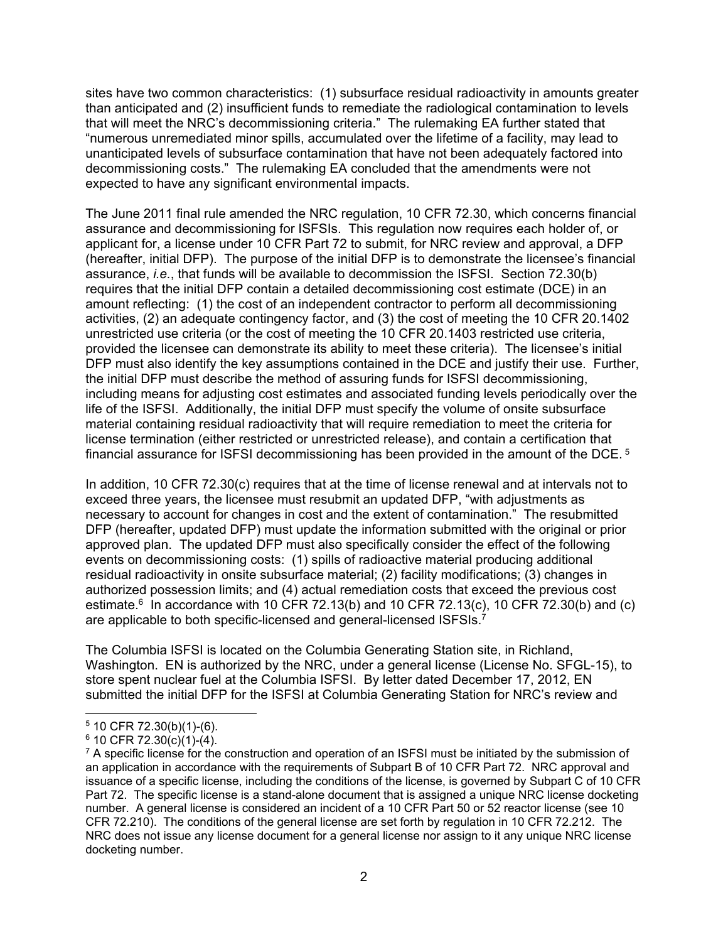sites have two common characteristics: (1) subsurface residual radioactivity in amounts greater than anticipated and (2) insufficient funds to remediate the radiological contamination to levels that will meet the NRC's decommissioning criteria." The rulemaking EA further stated that "numerous unremediated minor spills, accumulated over the lifetime of a facility, may lead to unanticipated levels of subsurface contamination that have not been adequately factored into decommissioning costs." The rulemaking EA concluded that the amendments were not expected to have any significant environmental impacts.

The June 2011 final rule amended the NRC regulation, 10 CFR 72.30, which concerns financial assurance and decommissioning for ISFSIs. This regulation now requires each holder of, or applicant for, a license under 10 CFR Part 72 to submit, for NRC review and approval, a DFP (hereafter, initial DFP). The purpose of the initial DFP is to demonstrate the licensee's financial assurance, *i.e.*, that funds will be available to decommission the ISFSI. Section 72.30(b) requires that the initial DFP contain a detailed decommissioning cost estimate (DCE) in an amount reflecting: (1) the cost of an independent contractor to perform all decommissioning activities, (2) an adequate contingency factor, and (3) the cost of meeting the 10 CFR 20.1402 unrestricted use criteria (or the cost of meeting the 10 CFR 20.1403 restricted use criteria, provided the licensee can demonstrate its ability to meet these criteria). The licensee's initial DFP must also identify the key assumptions contained in the DCE and justify their use. Further, the initial DFP must describe the method of assuring funds for ISFSI decommissioning, including means for adjusting cost estimates and associated funding levels periodically over the life of the ISFSI. Additionally, the initial DFP must specify the volume of onsite subsurface material containing residual radioactivity that will require remediation to meet the criteria for license termination (either restricted or unrestricted release), and contain a certification that financial assurance for ISFSI decommissioning has been provided in the amount of the DCE.<sup>5</sup>

In addition, 10 CFR 72.30(c) requires that at the time of license renewal and at intervals not to exceed three years, the licensee must resubmit an updated DFP, "with adjustments as necessary to account for changes in cost and the extent of contamination." The resubmitted DFP (hereafter, updated DFP) must update the information submitted with the original or prior approved plan. The updated DFP must also specifically consider the effect of the following events on decommissioning costs: (1) spills of radioactive material producing additional residual radioactivity in onsite subsurface material; (2) facility modifications; (3) changes in authorized possession limits; and (4) actual remediation costs that exceed the previous cost estimate.<sup>6</sup> In accordance with 10 CFR 72.13(b) and 10 CFR 72.13(c), 10 CFR 72.30(b) and (c) are applicable to both specific-licensed and general-licensed ISFSIs.7

The Columbia ISFSI is located on the Columbia Generating Station site, in Richland, Washington. EN is authorized by the NRC, under a general license (License No. SFGL-15), to store spent nuclear fuel at the Columbia ISFSI. By letter dated December 17, 2012, EN submitted the initial DFP for the ISFSI at Columbia Generating Station for NRC's review and

<sup>-</sup> $5$  10 CFR 72.30(b)(1)-(6).

 $6$  10 CFR 72.30(c)(1)-(4).

 $7$  A specific license for the construction and operation of an ISFSI must be initiated by the submission of an application in accordance with the requirements of Subpart B of 10 CFR Part 72. NRC approval and issuance of a specific license, including the conditions of the license, is governed by Subpart C of 10 CFR Part 72. The specific license is a stand-alone document that is assigned a unique NRC license docketing number. A general license is considered an incident of a 10 CFR Part 50 or 52 reactor license (see 10 CFR 72.210). The conditions of the general license are set forth by regulation in 10 CFR 72.212. The NRC does not issue any license document for a general license nor assign to it any unique NRC license docketing number.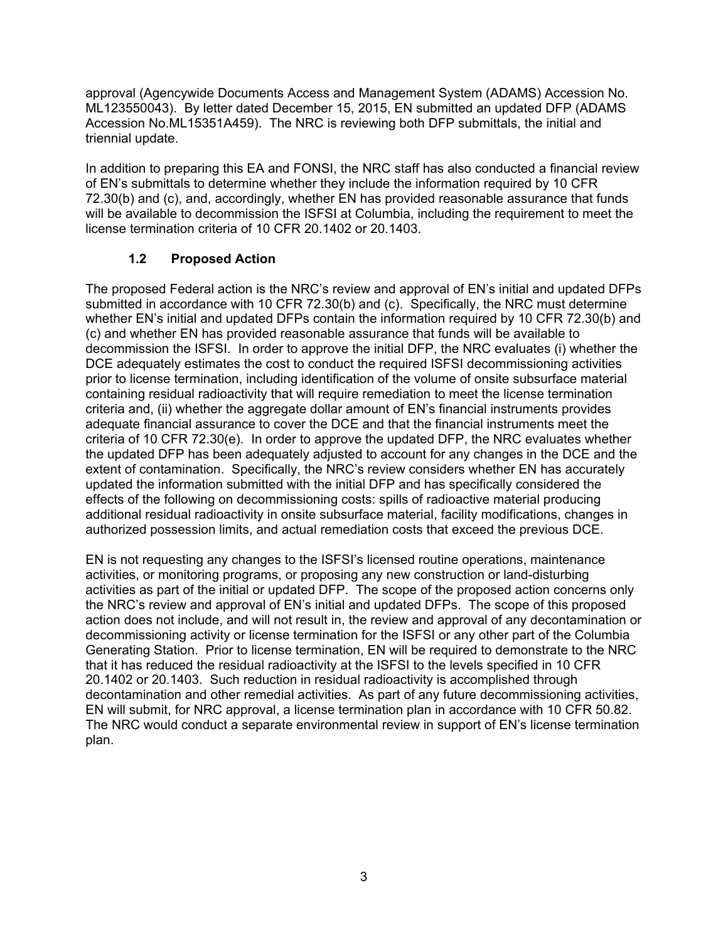approval (Agencywide Documents Access and Management System (ADAMS) Accession No. ML123550043). By letter dated December 15, 2015, EN submitted an updated DFP (ADAMS Accession No.ML15351A459). The NRC is reviewing both DFP submittals, the initial and triennial update.

In addition to preparing this EA and FONSI, the NRC staff has also conducted a financial review of EN's submittals to determine whether they include the information required by 10 CFR 72.30(b) and (c), and, accordingly, whether EN has provided reasonable assurance that funds will be available to decommission the ISFSI at Columbia, including the requirement to meet the license termination criteria of 10 CFR 20.1402 or 20.1403.

## **1.2 Proposed Action**

The proposed Federal action is the NRC's review and approval of EN's initial and updated DFPs submitted in accordance with 10 CFR 72.30(b) and (c). Specifically, the NRC must determine whether EN's initial and updated DFPs contain the information required by 10 CFR 72.30(b) and (c) and whether EN has provided reasonable assurance that funds will be available to decommission the ISFSI. In order to approve the initial DFP, the NRC evaluates (i) whether the DCE adequately estimates the cost to conduct the required ISFSI decommissioning activities prior to license termination, including identification of the volume of onsite subsurface material containing residual radioactivity that will require remediation to meet the license termination criteria and, (ii) whether the aggregate dollar amount of EN's financial instruments provides adequate financial assurance to cover the DCE and that the financial instruments meet the criteria of 10 CFR 72.30(e). In order to approve the updated DFP, the NRC evaluates whether the updated DFP has been adequately adjusted to account for any changes in the DCE and the extent of contamination. Specifically, the NRC's review considers whether EN has accurately updated the information submitted with the initial DFP and has specifically considered the effects of the following on decommissioning costs: spills of radioactive material producing additional residual radioactivity in onsite subsurface material, facility modifications, changes in authorized possession limits, and actual remediation costs that exceed the previous DCE.

EN is not requesting any changes to the ISFSI's licensed routine operations, maintenance activities, or monitoring programs, or proposing any new construction or land-disturbing activities as part of the initial or updated DFP. The scope of the proposed action concerns only the NRC's review and approval of EN's initial and updated DFPs. The scope of this proposed action does not include, and will not result in, the review and approval of any decontamination or decommissioning activity or license termination for the ISFSI or any other part of the Columbia Generating Station. Prior to license termination, EN will be required to demonstrate to the NRC that it has reduced the residual radioactivity at the ISFSI to the levels specified in 10 CFR 20.1402 or 20.1403. Such reduction in residual radioactivity is accomplished through decontamination and other remedial activities. As part of any future decommissioning activities, EN will submit, for NRC approval, a license termination plan in accordance with 10 CFR 50.82. The NRC would conduct a separate environmental review in support of EN's license termination plan.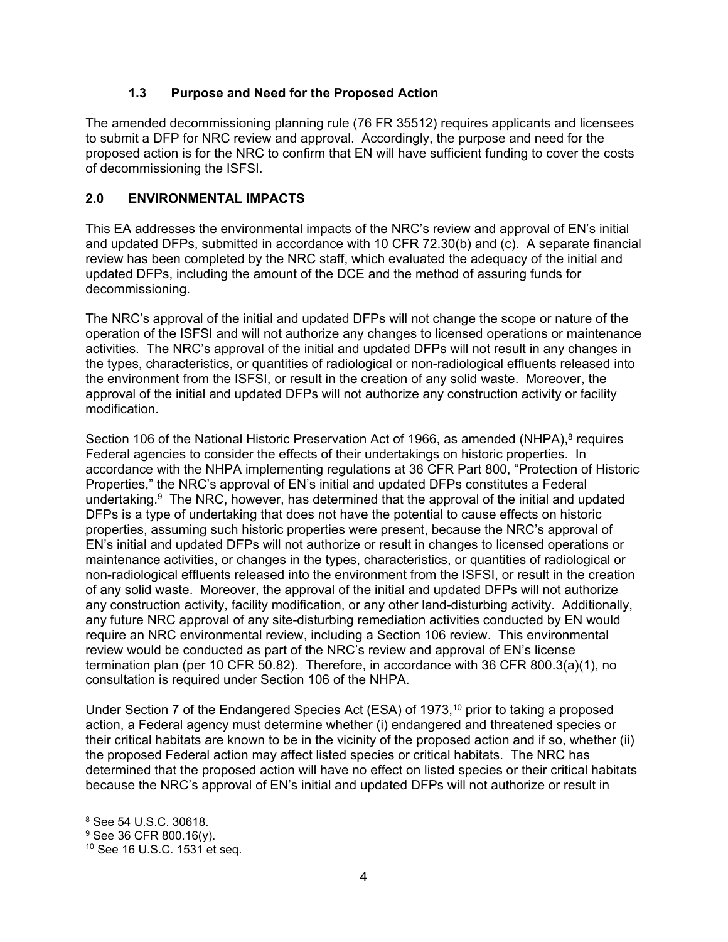### **1.3 Purpose and Need for the Proposed Action**

The amended decommissioning planning rule (76 FR 35512) requires applicants and licensees to submit a DFP for NRC review and approval. Accordingly, the purpose and need for the proposed action is for the NRC to confirm that EN will have sufficient funding to cover the costs of decommissioning the ISFSI.

#### **2.0 ENVIRONMENTAL IMPACTS**

This EA addresses the environmental impacts of the NRC's review and approval of EN's initial and updated DFPs, submitted in accordance with 10 CFR 72.30(b) and (c). A separate financial review has been completed by the NRC staff, which evaluated the adequacy of the initial and updated DFPs, including the amount of the DCE and the method of assuring funds for decommissioning.

The NRC's approval of the initial and updated DFPs will not change the scope or nature of the operation of the ISFSI and will not authorize any changes to licensed operations or maintenance activities. The NRC's approval of the initial and updated DFPs will not result in any changes in the types, characteristics, or quantities of radiological or non-radiological effluents released into the environment from the ISFSI, or result in the creation of any solid waste. Moreover, the approval of the initial and updated DFPs will not authorize any construction activity or facility modification.

Section 106 of the National Historic Preservation Act of 1966, as amended (NHPA),<sup>8</sup> requires Federal agencies to consider the effects of their undertakings on historic properties. In accordance with the NHPA implementing regulations at 36 CFR Part 800, "Protection of Historic Properties," the NRC's approval of EN's initial and updated DFPs constitutes a Federal undertaking. $9$  The NRC, however, has determined that the approval of the initial and updated DFPs is a type of undertaking that does not have the potential to cause effects on historic properties, assuming such historic properties were present, because the NRC's approval of EN's initial and updated DFPs will not authorize or result in changes to licensed operations or maintenance activities, or changes in the types, characteristics, or quantities of radiological or non-radiological effluents released into the environment from the ISFSI, or result in the creation of any solid waste. Moreover, the approval of the initial and updated DFPs will not authorize any construction activity, facility modification, or any other land-disturbing activity. Additionally, any future NRC approval of any site-disturbing remediation activities conducted by EN would require an NRC environmental review, including a Section 106 review. This environmental review would be conducted as part of the NRC's review and approval of EN's license termination plan (per 10 CFR 50.82). Therefore, in accordance with 36 CFR 800.3(a)(1), no consultation is required under Section 106 of the NHPA.

Under Section 7 of the Endangered Species Act (ESA) of 1973,<sup>10</sup> prior to taking a proposed action, a Federal agency must determine whether (i) endangered and threatened species or their critical habitats are known to be in the vicinity of the proposed action and if so, whether (ii) the proposed Federal action may affect listed species or critical habitats. The NRC has determined that the proposed action will have no effect on listed species or their critical habitats because the NRC's approval of EN's initial and updated DFPs will not authorize or result in

 $\overline{a}$ 

<sup>8</sup> See 54 U.S.C. 30618.

<sup>9</sup> See 36 CFR 800.16(y).

<sup>10</sup> See 16 U.S.C. 1531 et seq.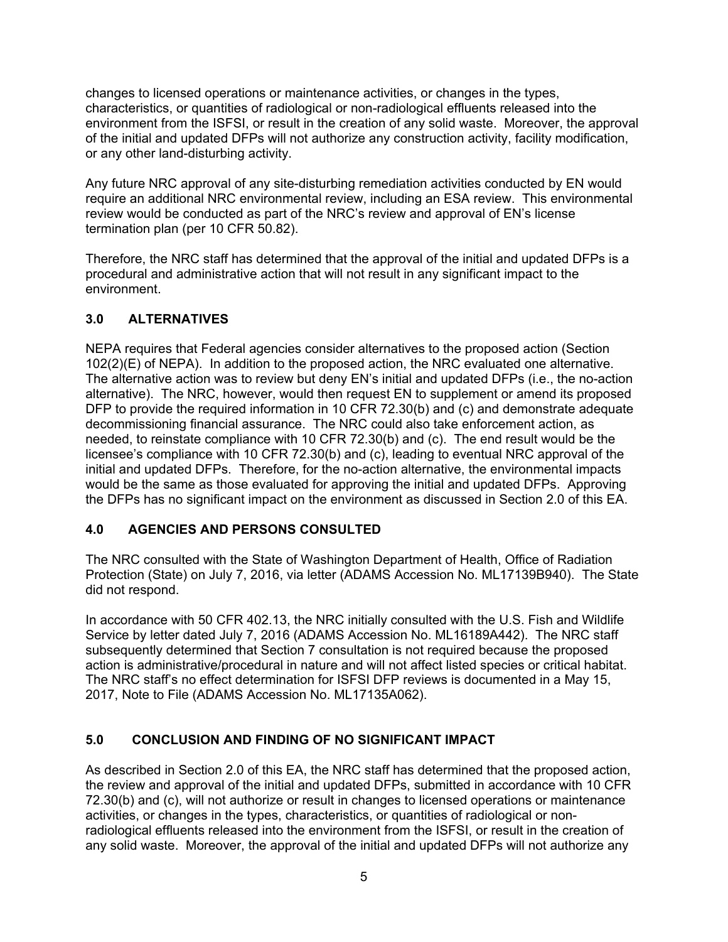changes to licensed operations or maintenance activities, or changes in the types, characteristics, or quantities of radiological or non-radiological effluents released into the environment from the ISFSI, or result in the creation of any solid waste. Moreover, the approval of the initial and updated DFPs will not authorize any construction activity, facility modification, or any other land-disturbing activity.

Any future NRC approval of any site-disturbing remediation activities conducted by EN would require an additional NRC environmental review, including an ESA review. This environmental review would be conducted as part of the NRC's review and approval of EN's license termination plan (per 10 CFR 50.82).

Therefore, the NRC staff has determined that the approval of the initial and updated DFPs is a procedural and administrative action that will not result in any significant impact to the environment.

### **3.0 ALTERNATIVES**

NEPA requires that Federal agencies consider alternatives to the proposed action (Section 102(2)(E) of NEPA). In addition to the proposed action, the NRC evaluated one alternative. The alternative action was to review but deny EN's initial and updated DFPs (i.e., the no-action alternative). The NRC, however, would then request EN to supplement or amend its proposed DFP to provide the required information in 10 CFR 72.30(b) and (c) and demonstrate adequate decommissioning financial assurance. The NRC could also take enforcement action, as needed, to reinstate compliance with 10 CFR 72.30(b) and (c). The end result would be the licensee's compliance with 10 CFR 72.30(b) and (c), leading to eventual NRC approval of the initial and updated DFPs. Therefore, for the no-action alternative, the environmental impacts would be the same as those evaluated for approving the initial and updated DFPs. Approving the DFPs has no significant impact on the environment as discussed in Section 2.0 of this EA.

### **4.0 AGENCIES AND PERSONS CONSULTED**

The NRC consulted with the State of Washington Department of Health, Office of Radiation Protection (State) on July 7, 2016, via letter (ADAMS Accession No. ML17139B940). The State did not respond.

In accordance with 50 CFR 402.13, the NRC initially consulted with the U.S. Fish and Wildlife Service by letter dated July 7, 2016 (ADAMS Accession No. ML16189A442). The NRC staff subsequently determined that Section 7 consultation is not required because the proposed action is administrative/procedural in nature and will not affect listed species or critical habitat. The NRC staff's no effect determination for ISFSI DFP reviews is documented in a May 15, 2017, Note to File (ADAMS Accession No. ML17135A062).

# **5.0 CONCLUSION AND FINDING OF NO SIGNIFICANT IMPACT**

As described in Section 2.0 of this EA, the NRC staff has determined that the proposed action, the review and approval of the initial and updated DFPs, submitted in accordance with 10 CFR 72.30(b) and (c), will not authorize or result in changes to licensed operations or maintenance activities, or changes in the types, characteristics, or quantities of radiological or nonradiological effluents released into the environment from the ISFSI, or result in the creation of any solid waste. Moreover, the approval of the initial and updated DFPs will not authorize any